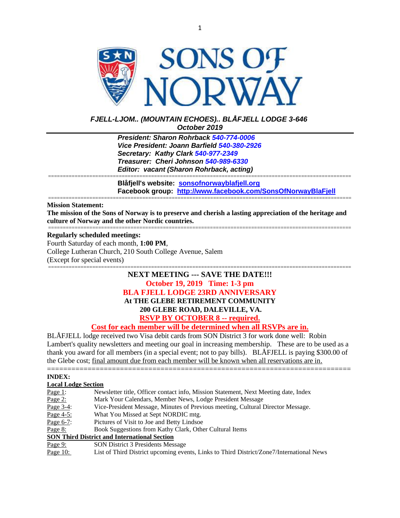

## *FJELL-LJOM.. (MOUNTAIN ECHOES).. BLÅFJELL LODGE 3-646 October 2019*

*President: Sharon Rohrback [540-774-0006](tel:540-977-2349) Vice President: Joann Barfield [540-380-2926](tel:540-977-2349) Secretary: Kathy Clark [540-977-2349](tel:540-977-2349) Treasurer: Cheri Johnson [540-989-6330](tel:540-774-0006) Editor: vacant (Sharon Rohrback, acting)*

**Blåfjell's website: [sonsofnorwayblafjell.org](http://222.sonsofnorwayblafjell.org/) Facebook group: <http://www.facebook.com/SonsOfNorwayBlaFjell>**

#### ======================================================================================================= **Mission Statement:**

**The mission of the Sons of Norway is to preserve and cherish a lasting appreciation of the heritage and culture of Norway and the other Nordic countries.** =======================================================================================================

=======================================================================================================

#### **Regularly scheduled meetings:**

Fourth Saturday of each month, **1:00 PM**, College Lutheran Church, 210 South College Avenue, Salem (Except for special events)

# **NEXT MEETING --- SAVE THE DATE!!! October 19, 2019 Time: 1-3 pm BLA FJELL LODGE 23RD ANNIVERSARY At THE GLEBE RETIREMENT COMMUNITY 200 GLEBE ROAD, DALEVILLE, VA. RSVP BY OCTOBER 8 -- required.**

=======================================================================================================

#### **Cost for each member will be determined when all RSVPs are in.**

BLÅFJELL lodge received two Visa debit cards from SON District 3 for work done well: Robin Lambert's quality newsletters and meeting our goal in increasing membership. These are to be used as a thank you award for all members (in a special event; not to pay bills). BLÅFJELL is paying \$300.00 of the Glebe cost; final amount due from each member will be known when all reservations are in.

| <b>INDEX:</b>              |                                                                                          |  |
|----------------------------|------------------------------------------------------------------------------------------|--|
| <b>Local Lodge Section</b> |                                                                                          |  |
| Page $1$ :                 | Newsletter title, Officer contact info, Mission Statement, Next Meeting date, Index      |  |
| Page $2$ :                 | Mark Your Calendars, Member News, Lodge President Message                                |  |
| Page $3-4$ :               | Vice-President Message, Minutes of Previous meeting, Cultural Director Message.          |  |
| Page $4-5$ :               | What You Missed at Sept NORDIC mtg.                                                      |  |
| Page 6-7:                  | Pictures of Visit to Joe and Betty Lindsoe                                               |  |
| Page 8:                    | Book Suggestions from Kathy Clark, Other Cultural Items                                  |  |
|                            | <b>SON Third District and International Section</b>                                      |  |
| Page $9:$                  | SON District 3 Presidents Message                                                        |  |
| Page $10$ :                | List of Third District upcoming events, Links to Third District/Zone7/International News |  |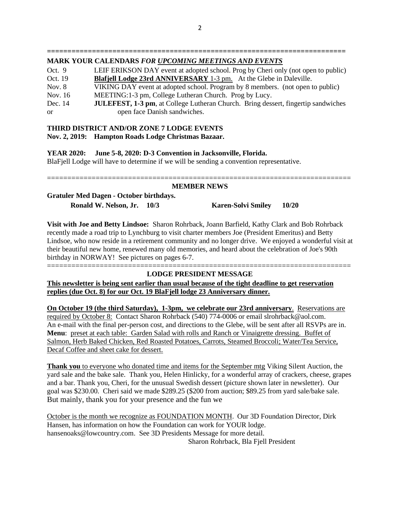#### **========================================================================= MARK YOUR CALENDARS** *FOR UPCOMING MEETINGS AND EVENTS*

| Oct. 9        | LEIF ERIKSON DAY event at adopted school. Prog by Cheri only (not open to public)         |
|---------------|-------------------------------------------------------------------------------------------|
| Oct. 19       | Blafjell Lodge 23rd ANNIVERSARY 1-3 pm. At the Glebe in Daleville.                        |
| Nov. 8        | VIKING DAY event at adopted school. Program by 8 members. (not open to public)            |
| Nov. 16       | MEETING:1-3 pm, College Lutheran Church. Prog by Lucy.                                    |
| Dec. 14       | <b>JULEFEST, 1-3 pm</b> , at College Lutheran Church. Bring dessert, fingertip sandwiches |
| <sub>or</sub> | open face Danish sandwiches.                                                              |

# **THIRD DISTRICT AND/OR ZONE 7 LODGE EVENTS**

# **Nov. 2, 2019: Hampton Roads Lodge Christmas Bazaar.**

**YEAR 2020: June 5-8, 2020: D-3 Convention in Jacksonville, Florida.** BlaFjell Lodge will have to determine if we will be sending a convention representative.

#### =========================================================================== **MEMBER NEWS**

# **Gratuler Med Dagen - October birthdays. Ronald W. Nelson, Jr. 10/3 Karen-Solvi Smiley 10/20**

**Visit with Joe and Betty Lindsoe:** Sharon Rohrback, Joann Barfield, Kathy Clark and Bob Rohrback recently made a road trip to Lynchburg to visit charter members Joe (President Emeritus) and Betty Lindsoe, who now reside in a retirement community and no longer drive. We enjoyed a wonderful visit at their beautiful new home, renewed many old memories, and heard about the celebration of Joe's 90th birthday in NORWAY! See pictures on pages 6-7. ===========================================================================

# **LODGE PRESIDENT MESSAGE**

**This newsletter is being sent earlier than usual because of the tight deadline to get reservation replies (due Oct. 8) for our Oct. 19 BlaFjell lodge 23 Anniversary dinner.**

**On October 19 (the third Saturday), 1-3pm, we celebrate our 23rd anniversary**. Reservations are required by October 8: Contact Sharon Rohrback (540) 774-0006 or email slrohrback@aol.com. An e-mail with the final per-person cost, and directions to the Glebe, will be sent after all RSVPs are in. **Menu**: preset at each table: Garden Salad with rolls and Ranch or Vinaigrette dressing. Buffet of Salmon, Herb Baked Chicken, Red Roasted Potatoes, Carrots, Steamed Broccoli; Water/Tea Service, Decaf Coffee and sheet cake for dessert.

**Thank you** to everyone who donated time and items for the September mtg Viking Silent Auction, the yard sale and the bake sale. Thank you, Helen Hinlicky, for a wonderful array of crackers, cheese, grapes and a bar. Thank you, Cheri, for the unusual Swedish dessert (picture shown later in newsletter). Our goal was \$230.00. Cheri said we made \$289.25 (\$200 from auction; \$89.25 from yard sale/bake sale. But mainly, thank you for your presence and the fun we

October is the month we recognize as FOUNDATION MONTH. Our 3D Foundation Director, Dirk Hansen, has information on how the Foundation can work for YOUR lodge. hansenoaks@lowcountry.com. See 3D Presidents Message for more detail.

Sharon Rohrback, Bla Fjell President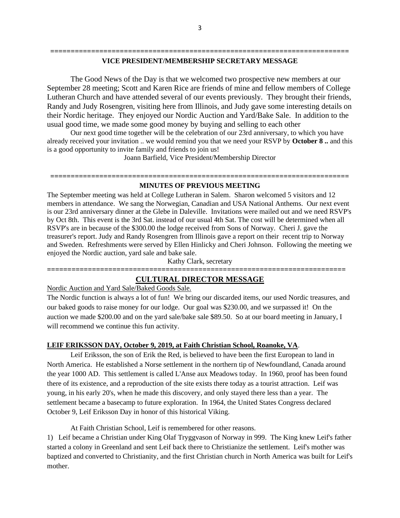#### **========================================================================= VICE PRESIDENT/MEMBERSHIP SECRETARY MESSAGE**

The Good News of the Day is that we welcomed two prospective new members at our September 28 meeting; Scott and Karen Rice are friends of mine and fellow members of College Lutheran Church and have attended several of our events previously. They brought their friends, Randy and Judy Rosengren, visiting here from Illinois, and Judy gave some interesting details on their Nordic heritage. They enjoyed our Nordic Auction and Yard/Bake Sale. In addition to the usual good time, we made some good money by buying and selling to each other

Our next good time together will be the celebration of our 23rd anniversary, to which you have already received your invitation .. we would remind you that we need your RSVP by **October 8 ..** and this is a good opportunity to invite family and friends to join us!

Joann Barfield, Vice President/Membership Director

## **========================================================================= MINUTES OF PREVIOUS MEETING**

The September meeting was held at College Lutheran in Salem. Sharon welcomed 5 visitors and 12 members in attendance. We sang the Norwegian, Canadian and USA National Anthems. Our next event is our 23rd anniversary dinner at the Glebe in Daleville. Invitations were mailed out and we need RSVP's by Oct 8th. This event is the 3rd Sat. instead of our usual 4th Sat. The cost will be determined when all RSVP's are in because of the \$300.00 the lodge received from Sons of Norway. Cheri J. gave the treasurer's report. Judy and Randy Rosengren from Illinois gave a report on their recent trip to Norway and Sweden. Refreshments were served by Ellen Hinlicky and Cheri Johnson. Following the meeting we enjoyed the Nordic auction, yard sale and bake sale.

Kathy Clark, secretary

## **========================================================================= CULTURAL DIRECTOR MESSAGE**

Nordic Auction and Yard Sale/Baked Goods Sale.

The Nordic function is always a lot of fun! We bring our discarded items, our used Nordic treasures, and our baked goods to raise money for our lodge. Our goal was \$230.00, and we surpassed it! On the auction we made \$200.00 and on the yard sale/bake sale \$89.50. So at our board meeting in January, I will recommend we continue this fun activity.

#### **LEIF ERIKSSON DAY, October 9, 2019, at Faith Christian School, Roanoke, VA**.

Leif Eriksson, the son of Erik the Red, is believed to have been the first European to land in North America. He established a Norse settlement in the northern tip of Newfoundland, Canada around the year 1000 AD. This settlement is called L'Anse aux Meadows today. In 1960, proof has been found there of its existence, and a reproduction of the site exists there today as a tourist attraction. Leif was young, in his early 20's, when he made this discovery, and only stayed there less than a year. The settlement became a basecamp to future exploration. In 1964, the United States Congress declared October 9, Leif Eriksson Day in honor of this historical Viking.

At Faith Christian School, Leif is remembered for other reasons.

1) Leif became a Christian under King Olaf Tryggvason of Norway in 999. The King knew Leif's father started a colony in Greenland and sent Leif back there to Christianize the settlement. Leif's mother was baptized and converted to Christianity, and the first Christian church in North America was built for Leif's mother.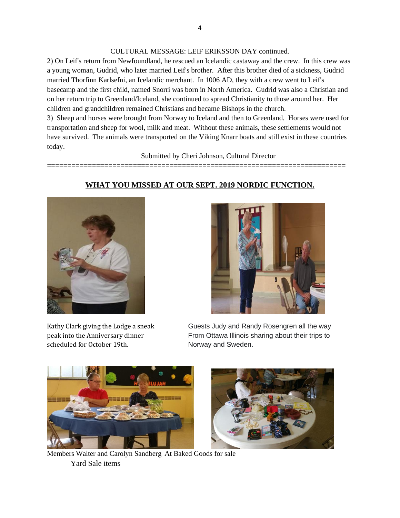CULTURAL MESSAGE: LEIF ERIKSSON DAY continued.

2) On Leif's return from Newfoundland, he rescued an Icelandic castaway and the crew. In this crew was a young woman, Gudrid, who later married Leif's brother. After this brother died of a sickness, Gudrid married Thorfinn Karlsefni, an Icelandic merchant. In 1006 AD, they with a crew went to Leif's basecamp and the first child, named Snorri was born in North America. Gudrid was also a Christian and on her return trip to Greenland/Iceland, she continued to spread Christianity to those around her. Her children and grandchildren remained Christians and became Bishops in the church.

3) Sheep and horses were brought from Norway to Iceland and then to Greenland. Horses were used for transportation and sheep for wool, milk and meat. Without these animals, these settlements would not have survived. The animals were transported on the Viking Knarr boats and still exist in these countries today.

Submitted by Cheri Johnson, Cultural Director

**=========================================================================**

**WHAT YOU MISSED AT OUR SEPT. 2019 NORDIC FUNCTION.** 



scheduled for October 19th. Norway and Sweden.



Kathy Clark giving the Lodge a sneak Guests Judy and Randy Rosengren all the way peak into the Anniversary dinner From Ottawa Illinois sharing about their trips to





Members Walter and Carolyn Sandberg At Baked Goods for sale Yard Sale items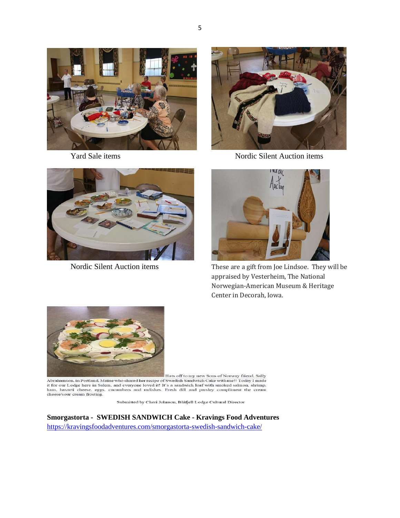

5





Yard Sale items Nordic Silent Auction items





Nordic Silent Auction items These are a gift from Joe Lindsoe. They will be appraised by Vesterheim, The National Norwegian-American Museum & Heritage Center in Decorah, Iowa.



Hats off to my new Sons of Norway friend, Sally<br>Abrahamson, in Portland, Maine who shared her recipe of Swedish Sandwich Cake with me!! Today I made it for our Lodge here in Salem, and everyone loved it! It's a sandwich loaf with smoked salmon, shrimp, ham, havarti cheese, eggs, cucumbers and radishes. Fresh dill and parsley compliment the cream cheese/sour cream frosting.

Submitted by Cheri Johnson, Blåfjell Lodge Cultural Director

**Smorgastorta - SWEDISH SANDWICH Cake - Kravings Food Adventures** <https://kravingsfoodadventures.com/smorgastorta-swedish-sandwich-cake/>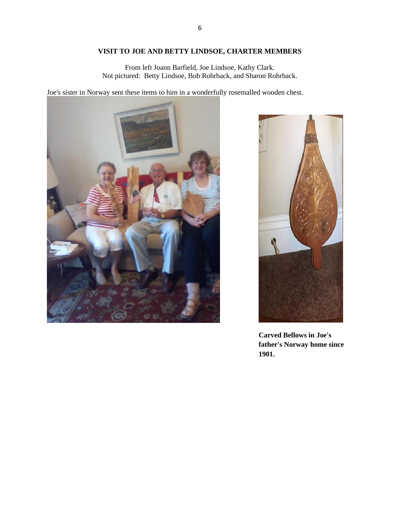# **VISIT TO JOE AND BETTY LINDSOE, CHARTER MEMBERS**

From left Joann Barfield, Joe Lindsoe, Kathy Clark. Not pictured: Betty Lindsoe, Bob Rohrback, and Sharon Rohrback.

Joe's sister in Norway sent these items to him in a wonderfully rosemalled wooden chest.





**Carved Bellows in Joe's father's Norway home since 1901.**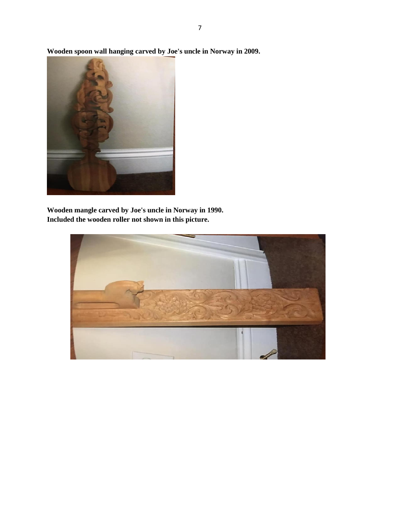

**Wooden mangle carved by Joe's uncle in Norway in 1990. Included the wooden roller not shown in this picture.**



**Wooden spoon wall hanging carved by Joe's uncle in Norway in 2009.**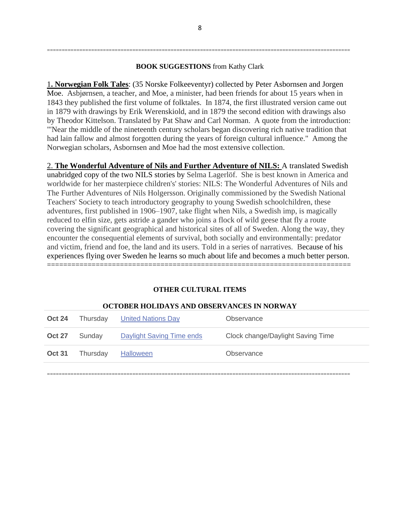## **BOOK SUGGESTIONS** from Kathy Clark

=======================================================================================================

1**. Norwegian Folk Tales**: (35 Norske Folkeeventyr) collected by Peter Asbornsen and Jorgen Moe. Asbjørnsen, a teacher, and Moe, a minister, had been friends for about 15 years when in 1843 they published the first volume of folktales. In 1874, the first illustrated version came out in 1879 with drawings by Erik Werenskiold, and in 1879 the second edition with drawings also by Theodor Kittelson. Translated by Pat Shaw and Carl Norman. A quote from the introduction: "'Near the middle of the nineteenth century scholars began discovering rich native tradition that had lain fallow and almost forgotten during the years of foreign cultural influence." Among the Norwegian scholars, Asbornsen and Moe had the most extensive collection.

2. **The Wonderful Adventure of Nils and Further Adventure of NILS:** A translated Swedish unabridged copy of the two NILS stories by Selma Lagerlöf. She is best known in America and worldwide for her masterpiece children's' stories: NILS: The Wonderful Adventures of Nils and The Further Adventures of Nils Holgersson. Originally commissioned by the Swedish National Teachers' Society to teach introductory geography to young Swedish schoolchildren, these adventures, first published in 1906–1907, take flight when Nils, a Swedish imp, is magically reduced to elfin size, gets astride a gander who joins a flock of wild geese that fly a route covering the significant geographical and historical sites of all of Sweden. Along the way, they encounter the consequential elements of survival, both socially and environmentally: predator and victim, friend and foe, the land and its users. Told in a series of narratives. Because of his experiences flying over Sweden he learns so much about life and becomes a much better person. ===========================================================================

# **OTHER CULTURAL ITEMS**

| <b>Oct 24</b> | Thursday | <b>United Nations Day</b> | Observance                        |
|---------------|----------|---------------------------|-----------------------------------|
| <b>Oct 27</b> | Sunday   | Daylight Saving Time ends | Clock change/Daylight Saving Time |
| <b>Oct 31</b> | Thursday | <b>Halloween</b>          | Observance                        |

#### **OCTOBER HOLIDAYS AND OBSERVANCES IN NORWAY**

=======================================================================================================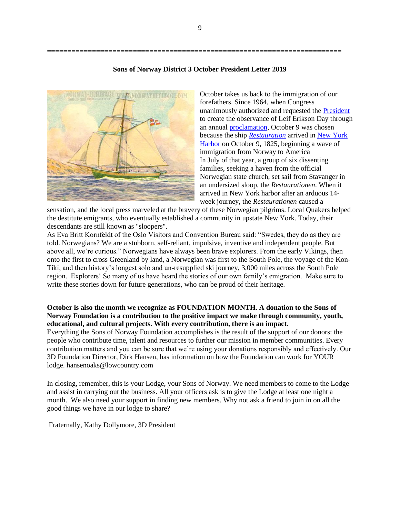**========================================================================**



#### **Sons of Norway District 3 October President Letter 2019**

October takes us back to the immigration of our forefathers. Since 1964, when Congress unanimously authorized and requested the [President](https://en.wikipedia.org/wiki/President_of_the_United_States) to create the observance of Leif Erikson Day through an annual [proclamation,](https://en.wikipedia.org/wiki/List_of_observances_in_the_United_States_by_presidential_proclamation) October 9 was chosen because the ship *[Restauration](https://en.wikipedia.org/wiki/Restauration_(ship))* arrived i[n New York](https://en.wikipedia.org/wiki/New_York_Harbor)  [Harbor](https://en.wikipedia.org/wiki/New_York_Harbor) on October 9, 1825, beginning a wave of immigration from Norway to America In July of that year, a group of six dissenting families, seeking a haven from the official Norwegian state church, set sail from Stavanger in an undersized sloop, the *Restaurationen*. When it arrived in New York harbor after an arduous 14 week journey, the *Restaurationen* caused a

sensation, and the local press marveled at the bravery of these Norwegian pilgrims. Local Quakers helped the destitute emigrants, who eventually established a community in upstate New York. Today, their descendants are still known as "sloopers".

As Eva Britt Kornfeldt of the Oslo Visitors and Convention Bureau said: "Swedes, they do as they are told. Norwegians? We are a stubborn, self-reliant, impulsive, inventive and independent people. But above all, we're curious." Norwegians have always been brave explorers. From the early Vikings, then onto the first to cross Greenland by land, a Norwegian was first to the South Pole, the voyage of the Kon-Tiki, and then history's longest solo and un-resupplied ski journey, 3,000 miles across the South Pole region. Explorers! So many of us have heard the stories of our own family's emigration. Make sure to write these stories down for future generations, who can be proud of their heritage.

#### **October is also the month we recognize as FOUNDATION MONTH. A donation to the Sons of Norway Foundation is a contribution to the positive impact we make through community, youth, educational, and cultural projects. With every contribution, there is an impact.**

Everything the Sons of Norway Foundation accomplishes is the result of the support of our donors: the people who contribute time, talent and resources to further our mission in member communities. Every contribution matters and you can be sure that we're using your donations responsibly and effectively. Our 3D Foundation Director, Dirk Hansen, has information on how the Foundation can work for YOUR lodge. hansenoaks@lowcountry.com

In closing, remember, this is your Lodge, your Sons of Norway. We need members to come to the Lodge and assist in carrying out the business. All your officers ask is to give the Lodge at least one night a month. We also need your support in finding new members. Why not ask a friend to join in on all the good things we have in our lodge to share?

Fraternally, Kathy Dollymore, 3D President